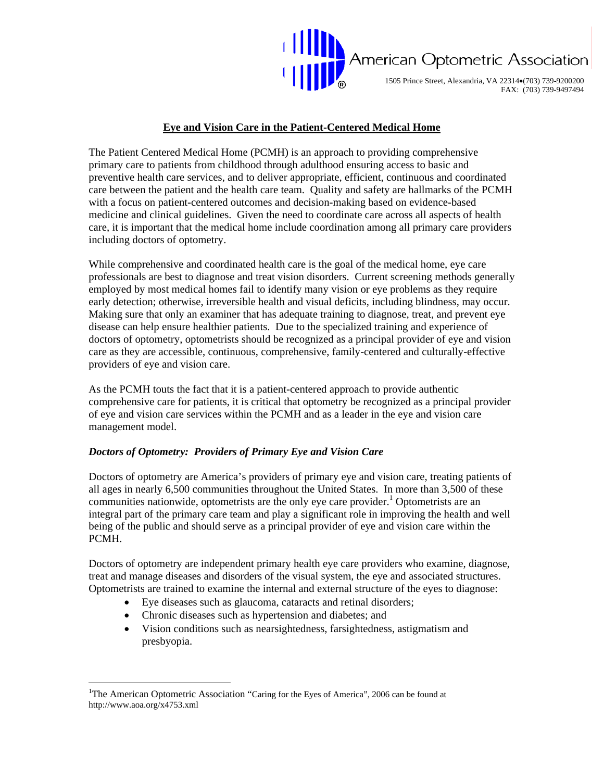

1505 Prince Street, Alexandria, VA 22314•(703) 739-9200200 FAX: (703) 739-9497494

# **Eye and Vision Care in the Patient-Centered Medical Home**

The Patient Centered Medical Home (PCMH) is an approach to providing comprehensive primary care to patients from childhood through adulthood ensuring access to basic and preventive health care services, and to deliver appropriate, efficient, continuous and coordinated care between the patient and the health care team. Quality and safety are hallmarks of the PCMH with a focus on patient-centered outcomes and decision-making based on evidence-based medicine and clinical guidelines. Given the need to coordinate care across all aspects of health care, it is important that the medical home include coordination among all primary care providers including doctors of optometry.

While comprehensive and coordinated health care is the goal of the medical home, eye care professionals are best to diagnose and treat vision disorders. Current screening methods generally employed by most medical homes fail to identify many vision or eye problems as they require early detection; otherwise, irreversible health and visual deficits, including blindness, may occur. Making sure that only an examiner that has adequate training to diagnose, treat, and prevent eye disease can help ensure healthier patients. Due to the specialized training and experience of doctors of optometry, optometrists should be recognized as a principal provider of eye and vision care as they are accessible, continuous, comprehensive, family-centered and culturally-effective providers of eye and vision care.

As the PCMH touts the fact that it is a patient-centered approach to provide authentic comprehensive care for patients, it is critical that optometry be recognized as a principal provider of eye and vision care services within the PCMH and as a leader in the eye and vision care management model.

# *Doctors of Optometry: Providers of Primary Eye and Vision Care*

Doctors of optometry are America's providers of primary eye and vision care, treating patients of all ages in nearly 6,500 communities throughout the United States. In more than 3,500 of these communities nationwide, optometrists are the only eye care provider.<sup>[1](#page-0-0)</sup> Optometrists are an integral part of the primary care team and play a significant role in improving the health and well being of the public and should serve as a principal provider of eye and vision care within the PCMH.

Doctors of optometry are independent primary health eye care providers who examine, diagnose, treat and manage diseases and disorders of the visual system, the eye and associated structures. Optometrists are trained to examine the internal and external structure of the eyes to diagnose:

- Eye diseases such as glaucoma, cataracts and retinal disorders;
- Chronic diseases such as hypertension and diabetes; and

 $\overline{a}$ 

• Vision conditions such as nearsightedness, farsightedness, astigmatism and presbyopia.

<span id="page-0-0"></span><sup>&</sup>lt;sup>1</sup>The American Optometric Association "Caring for the Eyes of America", 2006 can be found at http://www.aoa.org/x4753.xml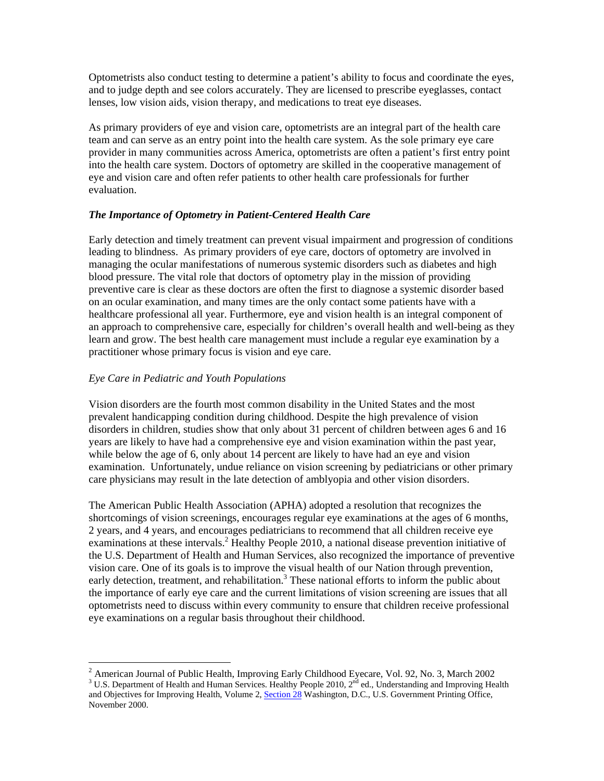Optometrists also conduct testing to determine a patient's ability to focus and coordinate the eyes, and to judge depth and see colors accurately. They are licensed to prescribe eyeglasses, contact lenses, low vision aids, vision therapy, and medications to treat eye diseases.

As primary providers of eye and vision care, optometrists are an integral part of the health care team and can serve as an entry point into the health care system. As the sole primary eye care provider in many communities across America, optometrists are often a patient's first entry point into the health care system. Doctors of optometry are skilled in the cooperative management of eye and vision care and often refer patients to other health care professionals for further evaluation.

### *The Importance of Optometry in Patient-Centered Health Care*

Early detection and timely treatment can prevent visual impairment and progression of conditions leading to blindness. As primary providers of eye care, doctors of optometry are involved in managing the ocular manifestations of numerous systemic disorders such as diabetes and high blood pressure. The vital role that doctors of optometry play in the mission of providing preventive care is clear as these doctors are often the first to diagnose a systemic disorder based on an ocular examination, and many times are the only contact some patients have with a healthcare professional all year. Furthermore, eye and vision health is an integral component of an approach to comprehensive care, especially for children's overall health and well-being as they learn and grow. The best health care management must include a regular eye examination by a practitioner whose primary focus is vision and eye care.

### *Eye Care in Pediatric and Youth Populations*

 $\overline{a}$ 

Vision disorders are the fourth most common disability in the United States and the most prevalent handicapping condition during childhood. Despite the high prevalence of vision disorders in children, studies show that only about 31 percent of children between ages 6 and 16 years are likely to have had a comprehensive eye and vision examination within the past year, while below the age of 6, only about 14 percent are likely to have had an eye and vision examination. Unfortunately, undue reliance on vision screening by pediatricians or other primary care physicians may result in the late detection of amblyopia and other vision disorders.

The American Public Health Association (APHA) adopted a resolution that recognizes the shortcomings of vision screenings, encourages regular eye examinations at the ages of 6 months, 2 years, and 4 years, and encourages pediatricians to recommend that all children receive eye examinations at these intervals.<sup>[2](#page-1-0)</sup> Healthy People 2010, a national disease prevention initiative of the U.S. Department of Health and Human Services, also recognized the importance of preventive vision care. One of its goals is to improve the visual health of our Nation through prevention, early detection, treatment, and rehabilitation.<sup>[3](#page-1-1)</sup> These national efforts to inform the public about the importance of early eye care and the current limitations of vision screening are issues that all optometrists need to discuss within every community to ensure that children receive professional eye examinations on a regular basis throughout their childhood.

<span id="page-1-0"></span><sup>&</sup>lt;sup>2</sup> American Journal of Public Health, Improving Early Childhood Eyecare, Vol. 92, No. 3, March 2002<br><sup>3</sup> U.S. Department of Health and Human Services, Healthy People 2010, 2<sup>nd</sup> ed. Understanding and Improving Hea

<span id="page-1-1"></span><sup>&</sup>lt;sup>3</sup> U.S. Department of Health and Human Services. Healthy People 2010, 2<sup>nd</sup> ed., Understanding and Improving Health and Objectives for Improving Health, Volume 2, [Section 28](http://www.healthypeople.gov/document/html/volume2/28vision.htm) Washington, D.C., U.S. Government Printing Office, November 2000.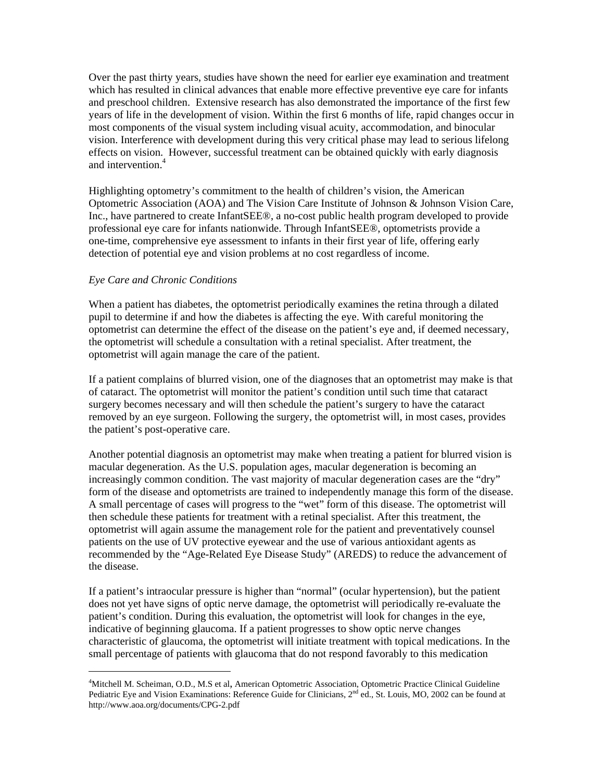Over the past thirty years, studies have shown the need for earlier eye examination and treatment which has resulted in clinical advances that enable more effective preventive eye care for infants and preschool children. Extensive research has also demonstrated the importance of the first few years of life in the development of vision. Within the first 6 months of life, rapid changes occur in most components of the visual system including visual acuity, accommodation, and binocular vision. Interference with development during this very critical phase may lead to serious lifelong effects on vision. However, successful treatment can be obtained quickly with early diagnosis and intervention.<sup>4</sup>

Highlighting optometry's commitment to the health of children's vision, the American Optometric Association (AOA) and The Vision Care Institute of Johnson & Johnson Vision Care, Inc., have partnered to create InfantSEE®, a no-cost public health program developed to provide professional eye care for infants nationwide. Through InfantSEE®, optometrists provide a one-time, comprehensive eye assessment to infants in their first year of life, offering early detection of potential eye and vision problems at no cost regardless of income.

### *Eye Care and Chronic Conditions*

 $\overline{a}$ 

When a patient has diabetes, the optometrist periodically examines the retina through a dilated pupil to determine if and how the diabetes is affecting the eye. With careful monitoring the optometrist can determine the effect of the disease on the patient's eye and, if deemed necessary, the optometrist will schedule a consultation with a retinal specialist. After treatment, the optometrist will again manage the care of the patient.

If a patient complains of blurred vision, one of the diagnoses that an optometrist may make is that of cataract. The optometrist will monitor the patient's condition until such time that cataract surgery becomes necessary and will then schedule the patient's surgery to have the cataract removed by an eye surgeon. Following the surgery, the optometrist will, in most cases, provides the patient's post-operative care.

Another potential diagnosis an optometrist may make when treating a patient for blurred vision is macular degeneration. As the U.S. population ages, macular degeneration is becoming an increasingly common condition. The vast majority of macular degeneration cases are the "dry" form of the disease and optometrists are trained to independently manage this form of the disease. A small percentage of cases will progress to the "wet" form of this disease. The optometrist will then schedule these patients for treatment with a retinal specialist. After this treatment, the optometrist will again assume the management role for the patient and preventatively counsel patients on the use of UV protective eyewear and the use of various antioxidant agents as recommended by the "Age-Related Eye Disease Study" (AREDS) to reduce the advancement of the disease.

If a patient's intraocular pressure is higher than "normal" (ocular hypertension), but the patient does not yet have signs of optic nerve damage, the optometrist will periodically re-evaluate the patient's condition. During this evaluation, the optometrist will look for changes in the eye, indicative of beginning glaucoma. If a patient progresses to show optic nerve changes characteristic of glaucoma, the optometrist will initiate treatment with topical medications. In the small percentage of patients with glaucoma that do not respond favorably to this medication

<span id="page-2-0"></span><sup>&</sup>lt;sup>4</sup>Mitchell M. Scheiman, O.D., M.S et al, American Optometric Association, Optometric Practice Clinical Guideline Pediatric Eye and Vision Examinations: Reference Guide for Clinicians, 2<sup>nd</sup> ed., St. Louis, MO, 2002 can be found at http://www.aoa.org/documents/CPG-2.pdf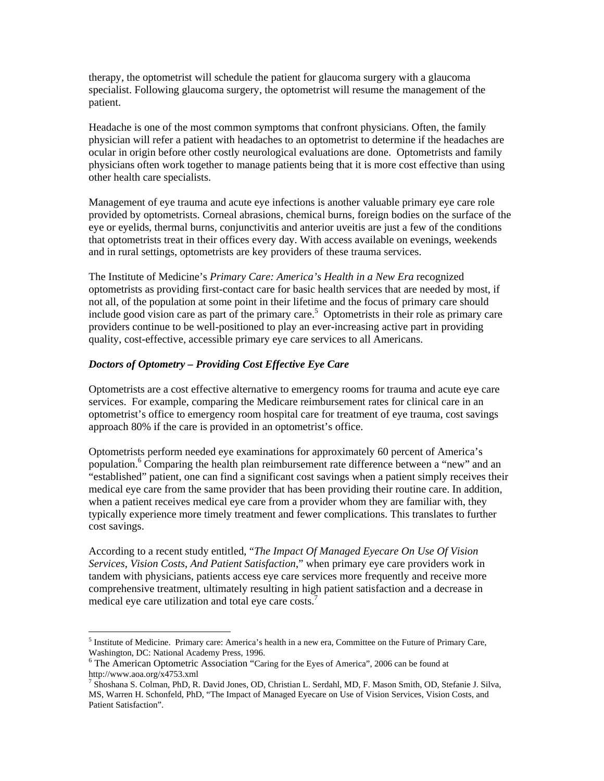therapy, the optometrist will schedule the patient for glaucoma surgery with a glaucoma specialist. Following glaucoma surgery, the optometrist will resume the management of the patient.

Headache is one of the most common symptoms that confront physicians. Often, the family physician will refer a patient with headaches to an optometrist to determine if the headaches are ocular in origin before other costly neurological evaluations are done. Optometrists and family physicians often work together to manage patients being that it is more cost effective than using other health care specialists.

Management of eye trauma and acute eye infections is another valuable primary eye care role provided by optometrists. Corneal abrasions, chemical burns, foreign bodies on the surface of the eye or eyelids, thermal burns, conjunctivitis and anterior uveitis are just a few of the conditions that optometrists treat in their offices every day. With access available on evenings, weekends and in rural settings, optometrists are key providers of these trauma services.

The Institute of Medicine's *Primary Care: America's Health in a New Era* recognized optometrists as providing first-contact care for basic health services that are needed by most, if not all, of the population at some point in their lifetime and the focus of primary care should include good vision care as part of the primary care.<sup>[5](#page-3-0)</sup> Optometrists in their role as primary care providers continue to be well-positioned to play an ever-increasing active part in providing quality, cost-effective, accessible primary eye care services to all Americans.

### *Doctors of Optometry – Providing Cost Effective Eye Care*

 $\overline{a}$ 

Optometrists are a cost effective alternative to emergency rooms for trauma and acute eye care services. For example, comparing the Medicare reimbursement rates for clinical care in an optometrist's office to emergency room hospital care for treatment of eye trauma, cost savings approach 80% if the care is provided in an optometrist's office.

Optometrists perform needed eye examinations for approximately 60 percent of America's population.<sup>[6](#page-3-1)</sup> Comparing the health plan reimbursement rate difference between a "new" and an "established" patient, one can find a significant cost savings when a patient simply receives their medical eye care from the same provider that has been providing their routine care. In addition, when a patient receives medical eye care from a provider whom they are familiar with, they typically experience more timely treatment and fewer complications. This translates to further cost savings.

According to a recent study entitled, "*The Impact Of Managed Eyecare On Use Of Vision Services, Vision Costs, And Patient Satisfaction*," when primary eye care providers work in tandem with physicians, patients access eye care services more frequently and receive more comprehensive treatment, ultimately resulting in high patient satisfaction and a decrease in medical eye care utilization and total eye care costs.<sup>[7](#page-3-2)</sup>

<span id="page-3-0"></span><sup>&</sup>lt;sup>5</sup> Institute of Medicine. Primary care: America's health in a new era, Committee on the Future of Primary Care, Washington, DC: National Academy Press, 1996.

<span id="page-3-1"></span>The American Optometric Association "Caring for the Eyes of America", 2006 can be found at http://www.aoa.org/x4753.xml

<span id="page-3-2"></span><sup>7</sup> Shoshana S. Colman, PhD, R. David Jones, OD, Christian L. Serdahl, MD, F. Mason Smith, OD, Stefanie J. Silva, MS, Warren H. Schonfeld, PhD, "The Impact of Managed Eyecare on Use of Vision Services, Vision Costs, and Patient Satisfaction".